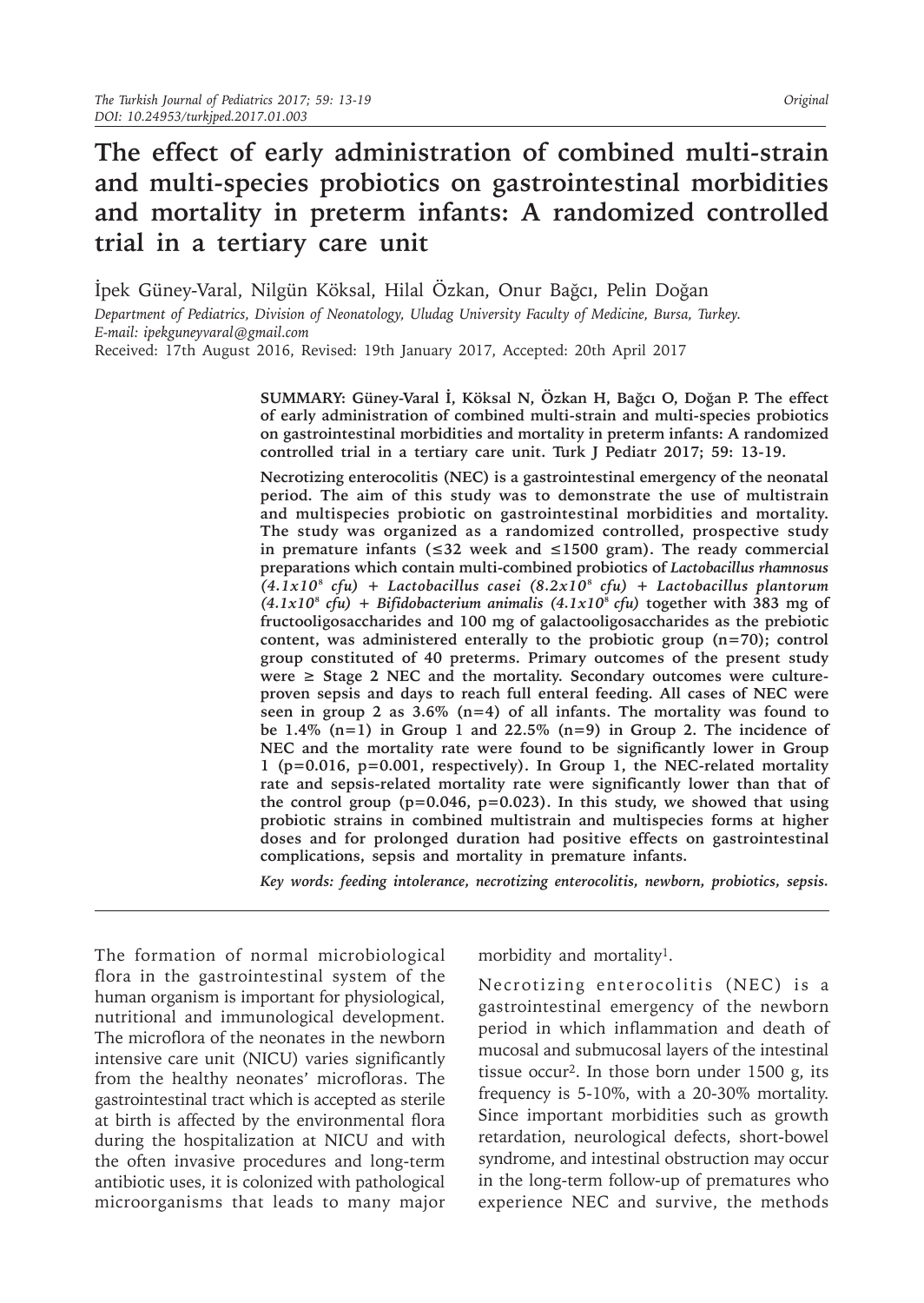# **The effect of early administration of combined multi-strain and multi-species probiotics on gastrointestinal morbidities and mortality in preterm infants: A randomized controlled trial in a tertiary care unit**

İpek Güney-Varal, Nilgün Köksal, Hilal Özkan, Onur Bağcı, Pelin Doğan

*Department of Pediatrics, Division of Neonatology, Uludag University Faculty of Medicine, Bursa, Turkey. E-mail: ipekguneyvaral@gmail.com*

Received: 17th August 2016, Revised: 19th January 2017, Accepted: 20th April 2017

**SUMMARY: Güney-Varal İ, Köksal N, Özkan H, Bağcı O, Doğan P. The effect of early administration of combined multi-strain and multi-species probiotics on gastrointestinal morbidities and mortality in preterm infants: A randomized controlled trial in a tertiary care unit. Turk J Pediatr 2017; 59: 13-19.**

**Necrotizing enterocolitis (NEC) is a gastrointestinal emergency of the neonatal period. The aim of this study was to demonstrate the use of multistrain and multispecies probiotic on gastrointestinal morbidities and mortality. The study was organized as a randomized controlled, prospective study in premature infants (≤32 week and ≤1500 gram). The ready commercial preparations which contain multi-combined probiotics of** *Lactobacillus rhamnosus (4.1x10*⁸ *cfu) + Lactobacillus casei (8.2x10*⁸ *cfu) + Lactobacillus plantorum*   $(4.1x10<sup>8</sup>$  *cfu*) + *Bifidobacterium animalis*  $(4.1x10<sup>8</sup>$  *cfu*) together with 383 mg of **fructooligosaccharides and 100 mg of galactooligosaccharides as the prebiotic content, was administered enterally to the probiotic group (n=70); control group constituted of 40 preterms. Primary outcomes of the present study**  were  $\geq$  Stage 2 NEC and the mortality. Secondary outcomes were culture**proven sepsis and days to reach full enteral feeding. All cases of NEC were seen in group 2 as 3.6% (n=4) of all infants. The mortality was found to be 1.4% (n=1) in Group 1 and 22.5% (n=9) in Group 2. The incidence of NEC and the mortality rate were found to be significantly lower in Group 1 (p=0.016, p=0.001, respectively). In Group 1, the NEC-related mortality rate and sepsis-related mortality rate were significantly lower than that of the control group (p=0.046, p=0.023). In this study, we showed that using probiotic strains in combined multistrain and multispecies forms at higher doses and for prolonged duration had positive effects on gastrointestinal complications, sepsis and mortality in premature infants.**

*Key words: feeding intolerance, necrotizing enterocolitis, newborn, probiotics, sepsis.*

The formation of normal microbiological flora in the gastrointestinal system of the human organism is important for physiological, nutritional and immunological development. The microflora of the neonates in the newborn intensive care unit (NICU) varies significantly from the healthy neonates' microfloras. The gastrointestinal tract which is accepted as sterile at birth is affected by the environmental flora during the hospitalization at NICU and with the often invasive procedures and long-term antibiotic uses, it is colonized with pathological microorganisms that leads to many major

morbidity and mortality1.

Necrotizing enterocolitis (NEC) is a gastrointestinal emergency of the newborn period in which inflammation and death of mucosal and submucosal layers of the intestinal tissue occur2. In those born under 1500 g, its frequency is 5-10%, with a 20-30% mortality. Since important morbidities such as growth retardation, neurological defects, short-bowel syndrome, and intestinal obstruction may occur in the long-term follow-up of prematures who experience NEC and survive, the methods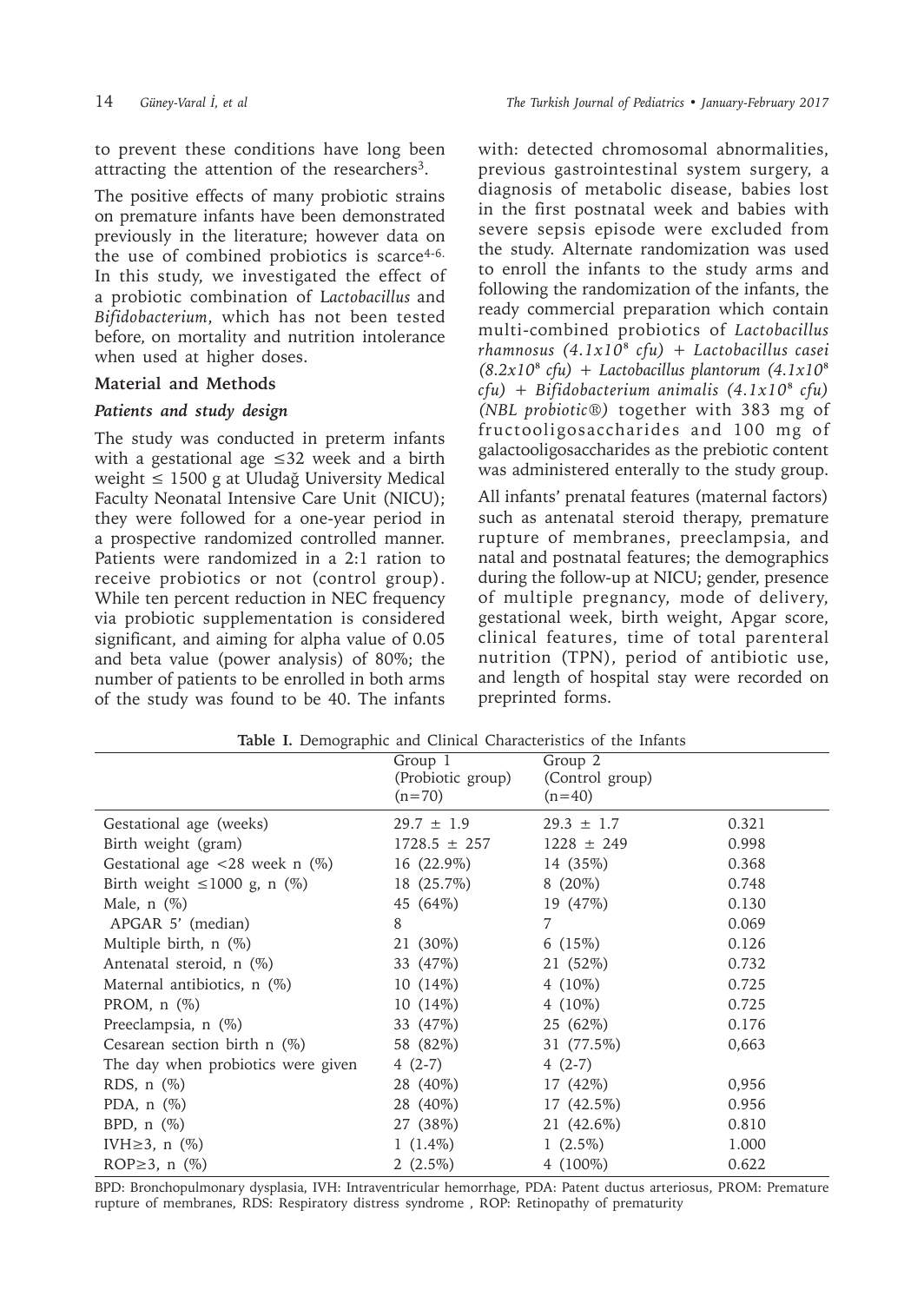to prevent these conditions have long been attracting the attention of the researchers<sup>3</sup>.

The positive effects of many probiotic strains on premature infants have been demonstrated previously in the literature; however data on the use of combined probiotics is scarce<sup>4-6.</sup> In this study, we investigated the effect of a probiotic combination of L*actobacillus* and *Bifidobacterium*, which has not been tested before*,* on mortality and nutrition intolerance when used at higher doses.

# **Material and Methods**

# *Patients and study design*

The study was conducted in preterm infants with a gestational age ≤32 week and a birth weight ≤ 1500 g at Uludağ University Medical Faculty Neonatal Intensive Care Unit (NICU); they were followed for a one-year period in a prospective randomized controlled manner. Patients were randomized in a 2:1 ration to receive probiotics or not (control group). While ten percent reduction in NEC frequency via probiotic supplementation is considered significant, and aiming for alpha value of 0.05 and beta value (power analysis) of 80%; the number of patients to be enrolled in both arms of the study was found to be 40. The infants with: detected chromosomal abnormalities, previous gastrointestinal system surgery, a diagnosis of metabolic disease, babies lost in the first postnatal week and babies with severe sepsis episode were excluded from the study. Alternate randomization was used to enroll the infants to the study arms and following the randomization of the infants, the ready commercial preparation which contain multi-combined probiotics of *Lactobacillus rhamnosus (4.1x10*⁸ *cfu) + Lactobacillus casei*   $(8.2x10<sup>8</sup>$  *cfu*) + *Lactobacillus plantorum*  $(4.1x10<sup>8</sup>)$ *cfu) + Bifidobacterium animalis (4.1x10*⁸ *cfu) (NBL probiotic®)* together with 383 mg of fructooligosaccharides and 100 mg of galactooligosaccharides as the prebiotic content was administered enterally to the study group.

All infants' prenatal features (maternal factors) such as antenatal steroid therapy, premature rupture of membranes, preeclampsia, and natal and postnatal features; the demographics during the follow-up at NICU; gender, presence of multiple pregnancy, mode of delivery, gestational week, birth weight, Apgar score, clinical features, time of total parenteral nutrition (TPN), period of antibiotic use, and length of hospital stay were recorded on preprinted forms.

|                                                   | Group 1<br>(Probiotic group)<br>$(n=70)$ | Group $2$<br>(Control group)<br>$(n=40)$ |       |
|---------------------------------------------------|------------------------------------------|------------------------------------------|-------|
| Gestational age (weeks)                           | $29.7 \pm 1.9$                           | $29.3 \pm 1.7$                           | 0.321 |
| Birth weight (gram)                               | $1728.5 \pm 257$                         | $1228 \pm 249$                           | 0.998 |
| Gestational age $\langle 28 \text{ week n } (\%)$ | 16 (22.9%)                               | 14 (35%)                                 | 0.368 |
| Birth weight $\leq 1000$ g, n (%)                 | 18 (25.7%)                               | $8(20\%)$                                | 0.748 |
| Male, $n$ $(\%)$                                  | 45 (64%)                                 | 19 (47%)                                 | 0.130 |
| APGAR 5' (median)                                 | 8                                        | 7                                        | 0.069 |
| Multiple birth, $n$ $(\%)$                        | 21 (30%)                                 | 6 $(15%)$                                | 0.126 |
| Antenatal steroid, n (%)                          | 33 (47%)                                 | 21 (52%)                                 | 0.732 |
| Maternal antibiotics, n (%)                       | $10(14\%)$                               | 4 $(10\%)$                               | 0.725 |
| PROM, $n$ $(\%)$                                  | 10(14%)                                  | 4 $(10\%)$                               | 0.725 |
| Preeclampsia, n (%)                               | 33 (47%)                                 | 25 (62%)                                 | 0.176 |
| Cesarean section birth $n$ (%)                    | 58 (82%)                                 | 31 (77.5%)                               | 0,663 |
| The day when probiotics were given                | $4(2-7)$                                 | $4(2-7)$                                 |       |
| RDS, $n$ $(\%)$                                   | 28 (40%)                                 | 17 (42%)                                 | 0,956 |
| PDA, $n$ $(\%)$                                   | 28 (40%)                                 | 17 (42.5%)                               | 0.956 |
| BPD, $n$ $(\%)$                                   | 27 (38%)                                 | 21 (42.6%)                               | 0.810 |
| IVH $\geq$ 3, n $(\%)$                            | $1(1.4\%)$                               | 1 $(2.5\%)$                              | 1.000 |
| ROP $\geq$ 3, n $(\%)$                            | $2(2.5\%)$                               | 4 (100%)                                 | 0.622 |

**Table I.** Demographic and Clinical Characteristics of the Infants

BPD: Bronchopulmonary dysplasia, IVH: Intraventricular hemorrhage, PDA: Patent ductus arteriosus, PROM: Premature rupture of membranes, RDS: Respiratory distress syndrome , ROP: Retinopathy of prematurity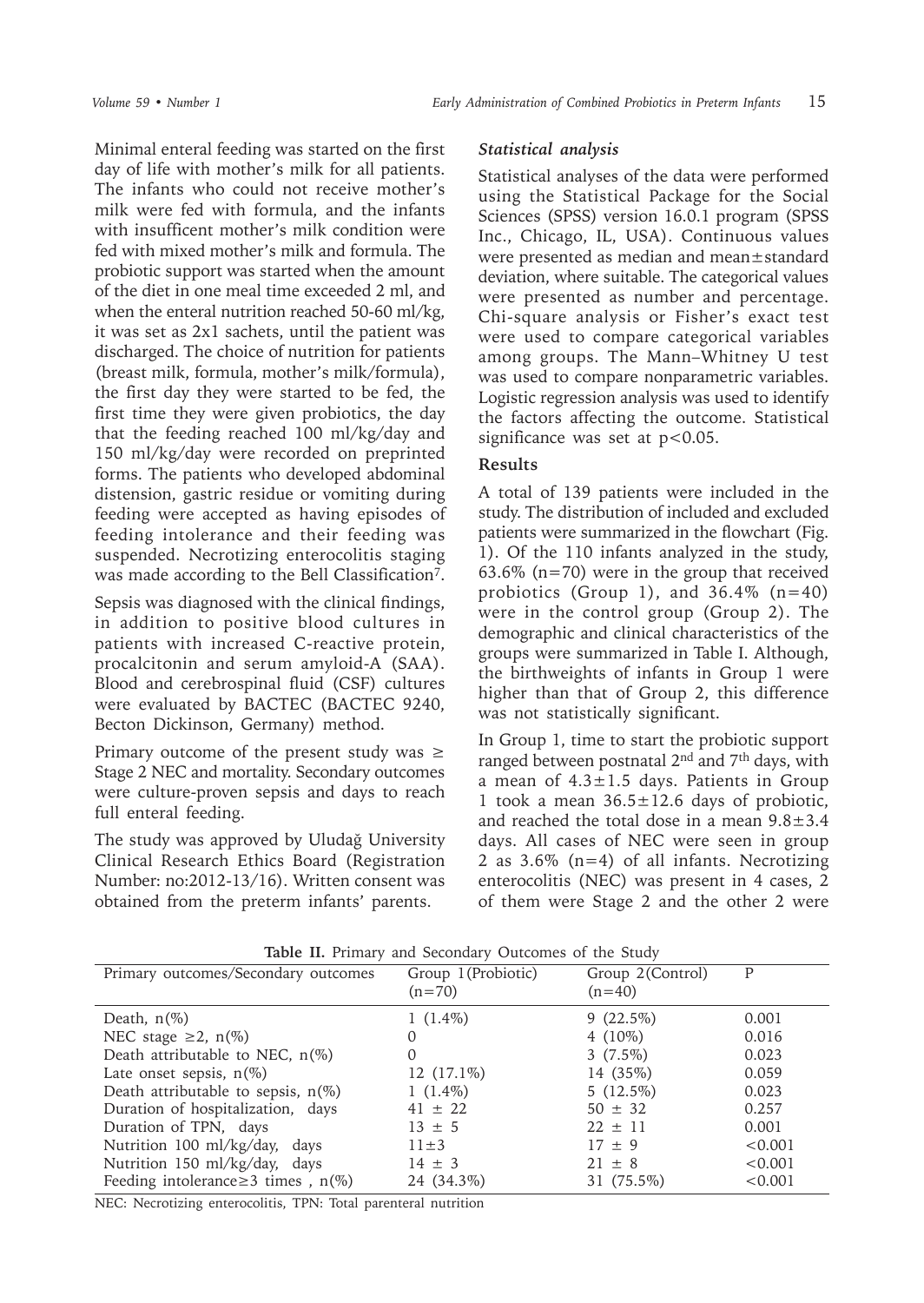Minimal enteral feeding was started on the first day of life with mother's milk for all patients. The infants who could not receive mother's milk were fed with formula, and the infants with insufficent mother's milk condition were fed with mixed mother's milk and formula. The probiotic support was started when the amount of the diet in one meal time exceeded 2 ml, and when the enteral nutrition reached 50-60 ml/kg, it was set as 2x1 sachets, until the patient was discharged. The choice of nutrition for patients (breast milk, formula, mother's milk/formula), the first day they were started to be fed, the first time they were given probiotics, the day that the feeding reached 100 ml/kg/day and 150 ml/kg/day were recorded on preprinted forms. The patients who developed abdominal distension, gastric residue or vomiting during feeding were accepted as having episodes of feeding intolerance and their feeding was suspended. Necrotizing enterocolitis staging was made according to the Bell Classification<sup>7</sup>.

Sepsis was diagnosed with the clinical findings, in addition to positive blood cultures in patients with increased C-reactive protein, procalcitonin and serum amyloid-A (SAA). Blood and cerebrospinal fluid (CSF) cultures were evaluated by BACTEC (BACTEC 9240, Becton Dickinson, Germany) method.

Primary outcome of the present study was  $\geq$ Stage 2 NEC and mortality. Secondary outcomes were culture-proven sepsis and days to reach full enteral feeding.

The study was approved by Uludağ University Clinical Research Ethics Board (Registration Number: no:2012-13/16). Written consent was obtained from the preterm infants' parents.

#### *Statistical analysis*

Statistical analyses of the data were performed using the Statistical Package for the Social Sciences (SPSS) version 16.0.1 program (SPSS Inc., Chicago, IL, USA). Continuous values were presented as median and mean±standard deviation, where suitable. The categorical values were presented as number and percentage. Chi-square analysis or Fisher's exact test were used to compare categorical variables among groups. The Mann–Whitney U test was used to compare nonparametric variables. Logistic regression analysis was used to identify the factors affecting the outcome. Statistical significance was set at  $p < 0.05$ .

# **Results**

A total of 139 patients were included in the study. The distribution of included and excluded patients were summarized in the flowchart (Fig. 1). Of the 110 infants analyzed in the study, 63.6% (n=70) were in the group that received probiotics (Group 1), and  $36.4\%$  (n=40) were in the control group (Group 2). The demographic and clinical characteristics of the groups were summarized in Table I. Although, the birthweights of infants in Group 1 were higher than that of Group 2, this difference was not statistically significant.

In Group 1, time to start the probiotic support ranged between postnatal 2nd and 7th days, with a mean of  $4.3 \pm 1.5$  days. Patients in Group 1 took a mean  $36.5 \pm 12.6$  days of probiotic, and reached the total dose in a mean  $9.8 \pm 3.4$ days. All cases of NEC were seen in group 2 as 3.6% (n=4) of all infants. Necrotizing enterocolitis (NEC) was present in 4 cases, 2 of them were Stage 2 and the other 2 were

| Primary outcomes/Secondary outcomes      | Group 1 (Probiotic)<br>$(n=70)$ | Group 2(Control)<br>$(n=40)$ | P       |
|------------------------------------------|---------------------------------|------------------------------|---------|
| Death, $n(\%)$                           | $1(1.4\%)$                      | $9(22.5\%)$                  | 0.001   |
| NEC stage $\geq 2$ , n(%)                | 0                               | 4 $(10\%)$                   | 0.016   |
| Death attributable to NEC, $n(\%)$       | 0                               | $3(7.5\%)$                   | 0.023   |
| Late onset sepsis, $n(\%)$               | $12(17.1\%)$                    | 14 (35%)                     | 0.059   |
| Death attributable to sepsis, $n(\%)$    | $1(1.4\%)$                      | $5(12.5\%)$                  | 0.023   |
| Duration of hospitalization, days        | $41 \pm 22$                     | $50 \pm 32$                  | 0.257   |
| Duration of TPN, days                    | $13 \pm 5$                      | $22 \pm 11$                  | 0.001   |
| Nutrition 100 ml/kg/day, days            | $11\pm3$                        | $17 + 9$                     | < 0.001 |
| Nutrition 150 ml/kg/day, days            | $14 \pm 3$                      | $21 \pm 8$                   | < 0.001 |
| Feeding intolerance $\geq$ 3 times, n(%) | 24 (34.3%)                      | 31 (75.5%)                   | < 0.001 |

**Table II.** Primary and Secondary Outcomes of the Study

NEC: Necrotizing enterocolitis, TPN: Total parenteral nutrition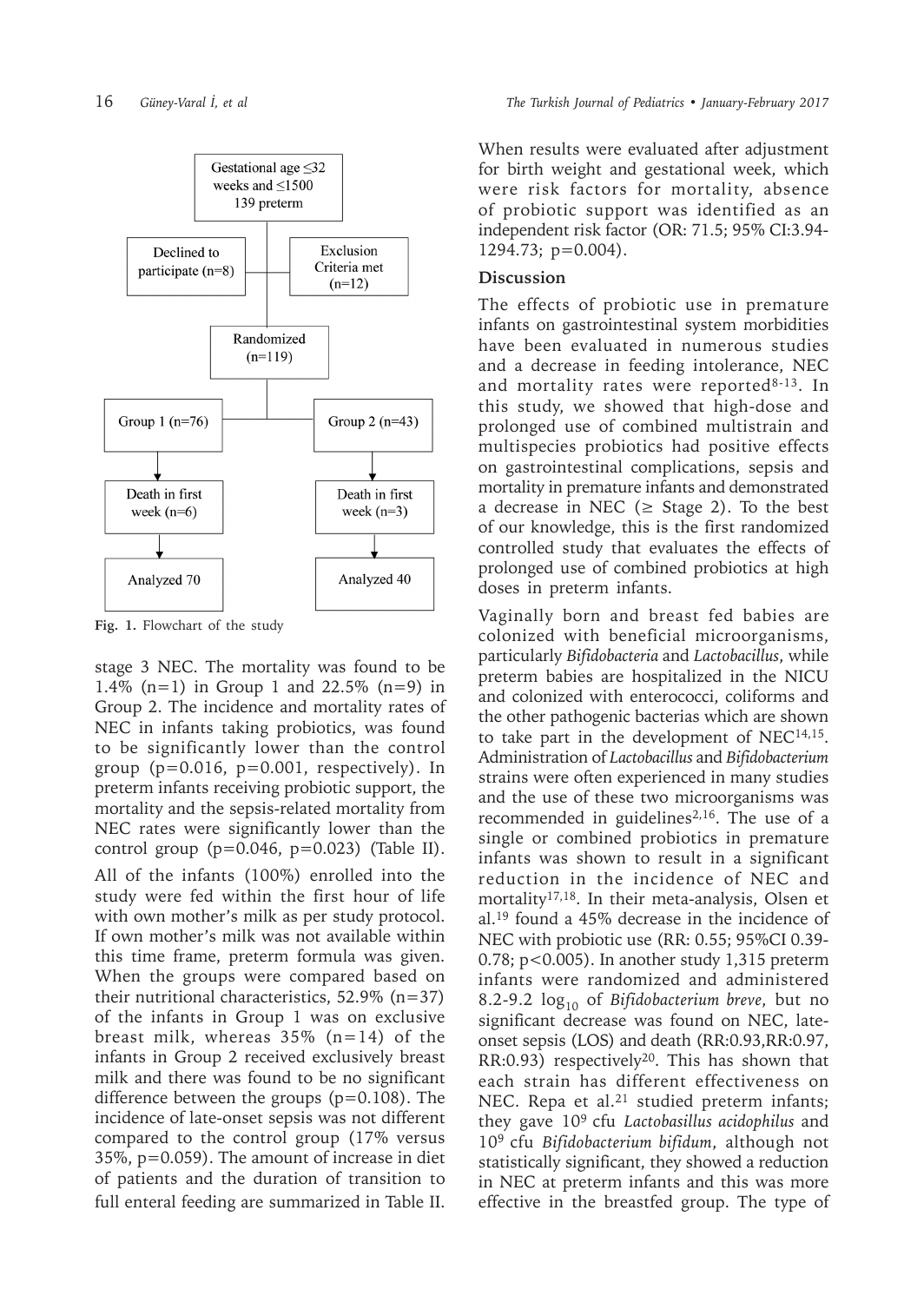

**Fig. 1.** Flowchart of the study

stage 3 NEC. The mortality was found to be 1.4% (n=1) in Group 1 and 22.5% (n=9) in Group 2. The incidence and mortality rates of NEC in infants taking probiotics, was found to be significantly lower than the control group  $(p=0.016, p=0.001,$  respectively). In preterm infants receiving probiotic support, the mortality and the sepsis-related mortality from NEC rates were significantly lower than the control group  $(p=0.046, p=0.023)$  (Table II). All of the infants (100%) enrolled into the study were fed within the first hour of life with own mother's milk as per study protocol. If own mother's milk was not available within this time frame, preterm formula was given. When the groups were compared based on their nutritional characteristics,  $52.9\%$  (n=37) of the infants in Group 1 was on exclusive breast milk, whereas  $35\%$  (n=14) of the infants in Group 2 received exclusively breast milk and there was found to be no significant difference between the groups (p=0.108). The incidence of late-onset sepsis was not different compared to the control group (17% versus 35%, p=0.059). The amount of increase in diet of patients and the duration of transition to full enteral feeding are summarized in Table II.

When results were evaluated after adjustment for birth weight and gestational week, which were risk factors for mortality, absence of probiotic support was identified as an independent risk factor (OR: 71.5; 95% CI:3.94- 1294.73; p=0.004).

## **Discussion**

The effects of probiotic use in premature infants on gastrointestinal system morbidities have been evaluated in numerous studies and a decrease in feeding intolerance, NEC and mortality rates were reported<sup>8-13</sup>. In this study, we showed that high-dose and prolonged use of combined multistrain and multispecies probiotics had positive effects on gastrointestinal complications, sepsis and mortality in premature infants and demonstrated a decrease in NEC ( $\geq$  Stage 2). To the best of our knowledge, this is the first randomized controlled study that evaluates the effects of prolonged use of combined probiotics at high doses in preterm infants.

Vaginally born and breast fed babies are colonized with beneficial microorganisms, particularly *Bifidobacteria* and *Lactobacillus*, while preterm babies are hospitalized in the NICU and colonized with enterococci, coliforms and the other pathogenic bacterias which are shown to take part in the development of  $NEC^{14,15}$ . Administration of *Lactobacillus* and *Bifidobacterium* strains were often experienced in many studies and the use of these two microorganisms was recommended in guidelines<sup>2,16</sup>. The use of a single or combined probiotics in premature infants was shown to result in a significant reduction in the incidence of NEC and mortality17,18. In their meta-analysis, Olsen et al.19 found a 45% decrease in the incidence of NEC with probiotic use (RR: 0.55; 95%CI 0.39- 0.78; p<0.005). In another study 1,315 preterm infants were randomized and administered 8.2-9.2 log10 of *Bifidobacterium breve*, but no significant decrease was found on NEC, lateonset sepsis (LOS) and death (RR:0.93,RR:0.97, RR:0.93) respectively<sup>20</sup>. This has shown that each strain has different effectiveness on NEC. Repa et al.<sup>21</sup> studied preterm infants; they gave 109 cfu *Lactobasillus acidophilus* and 109 cfu *Bifidobacterium bifidum*, although not statistically significant, they showed a reduction in NEC at preterm infants and this was more effective in the breastfed group. The type of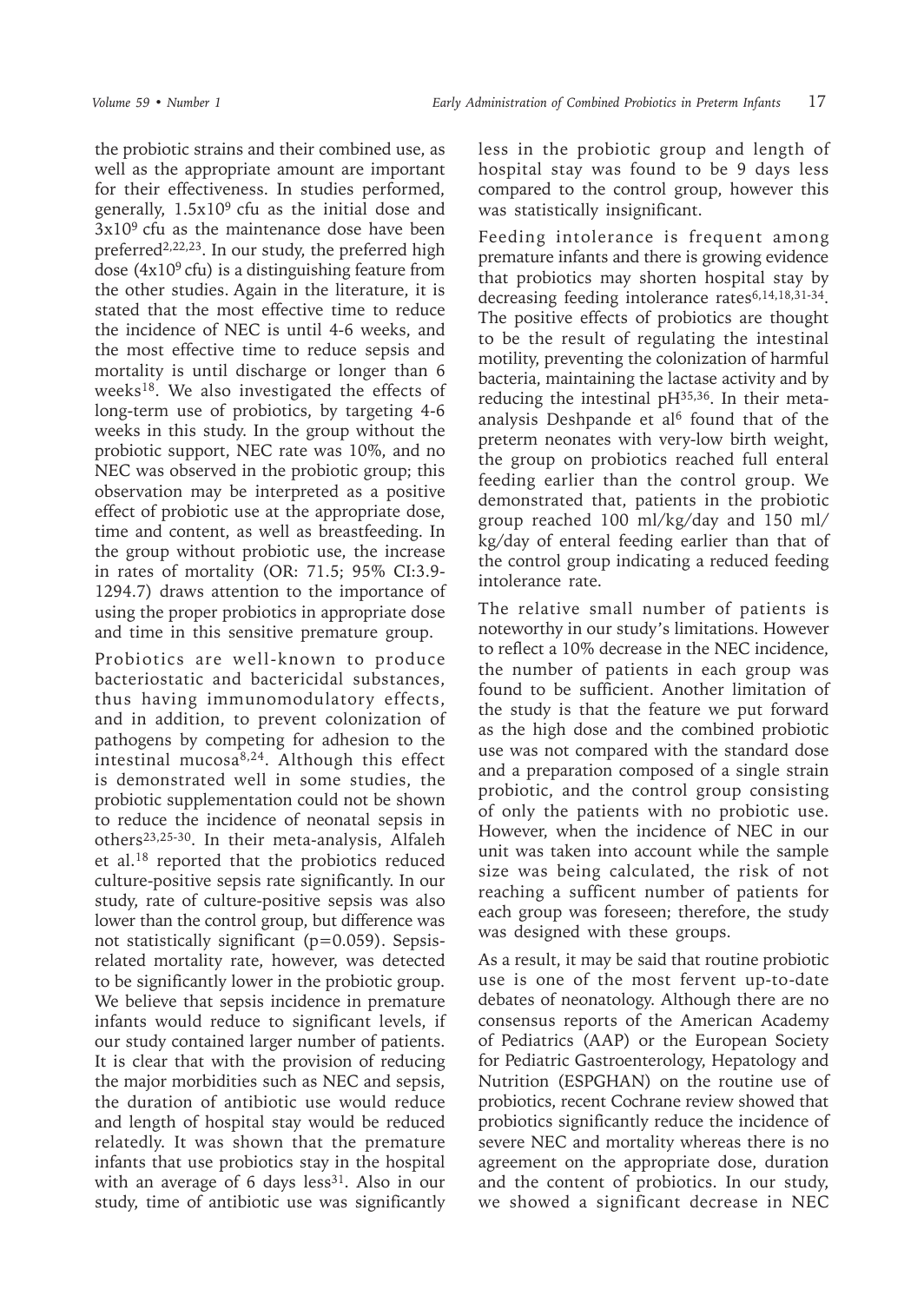the probiotic strains and their combined use, as well as the appropriate amount are important for their effectiveness. In studies performed, generally,  $1.5x10<sup>9</sup>$  cfu as the initial dose and  $3x10<sup>9</sup>$  cfu as the maintenance dose have been preferred<sup>2,22,23</sup>. In our study, the preferred high dose  $(4x10<sup>9</sup>$  cfu) is a distinguishing feature from the other studies. Again in the literature, it is stated that the most effective time to reduce the incidence of NEC is until 4-6 weeks, and the most effective time to reduce sepsis and mortality is until discharge or longer than 6 weeks18. We also investigated the effects of long-term use of probiotics, by targeting 4-6 weeks in this study. In the group without the probiotic support, NEC rate was 10%, and no NEC was observed in the probiotic group; this observation may be interpreted as a positive effect of probiotic use at the appropriate dose, time and content, as well as breastfeeding. In the group without probiotic use, the increase in rates of mortality (OR: 71.5; 95% CI:3.9- 1294.7) draws attention to the importance of using the proper probiotics in appropriate dose and time in this sensitive premature group.

Probiotics are well-known to produce bacteriostatic and bactericidal substances, thus having immunomodulatory effects, and in addition, to prevent colonization of pathogens by competing for adhesion to the intestinal mucosa $8,24$ . Although this effect is demonstrated well in some studies, the probiotic supplementation could not be shown to reduce the incidence of neonatal sepsis in others23,25-30. In their meta-analysis, Alfaleh et al.18 reported that the probiotics reduced culture-positive sepsis rate significantly. In our study, rate of culture-positive sepsis was also lower than the control group, but difference was not statistically significant (p=0.059). Sepsisrelated mortality rate, however, was detected to be significantly lower in the probiotic group. We believe that sepsis incidence in premature infants would reduce to significant levels, if our study contained larger number of patients. It is clear that with the provision of reducing the major morbidities such as NEC and sepsis, the duration of antibiotic use would reduce and length of hospital stay would be reduced relatedly. It was shown that the premature infants that use probiotics stay in the hospital with an average of 6 days less<sup>31</sup>. Also in our study, time of antibiotic use was significantly

less in the probiotic group and length of hospital stay was found to be 9 days less compared to the control group, however this was statistically insignificant.

Feeding intolerance is frequent among premature infants and there is growing evidence that probiotics may shorten hospital stay by decreasing feeding intolerance rates6,14,18,31-34. The positive effects of probiotics are thought to be the result of regulating the intestinal motility, preventing the colonization of harmful bacteria, maintaining the lactase activity and by reducing the intestinal  $pH^{35,36}$ . In their metaanalysis Deshpande et al<sup>6</sup> found that of the preterm neonates with very-low birth weight, the group on probiotics reached full enteral feeding earlier than the control group. We demonstrated that, patients in the probiotic group reached 100 ml/kg/day and 150 ml/ kg/day of enteral feeding earlier than that of the control group indicating a reduced feeding intolerance rate.

The relative small number of patients is noteworthy in our study's limitations. However to reflect a 10% decrease in the NEC incidence, the number of patients in each group was found to be sufficient. Another limitation of the study is that the feature we put forward as the high dose and the combined probiotic use was not compared with the standard dose and a preparation composed of a single strain probiotic, and the control group consisting of only the patients with no probiotic use. However, when the incidence of NEC in our unit was taken into account while the sample size was being calculated, the risk of not reaching a sufficent number of patients for each group was foreseen; therefore, the study was designed with these groups.

As a result, it may be said that routine probiotic use is one of the most fervent up-to-date debates of neonatology. Although there are no consensus reports of the American Academy of Pediatrics (AAP) or the European Society for Pediatric Gastroenterology, Hepatology and Nutrition (ESPGHAN) on the routine use of probiotics, recent Cochrane review showed that probiotics significantly reduce the incidence of severe NEC and mortality whereas there is no agreement on the appropriate dose, duration and the content of probiotics. In our study, we showed a significant decrease in NEC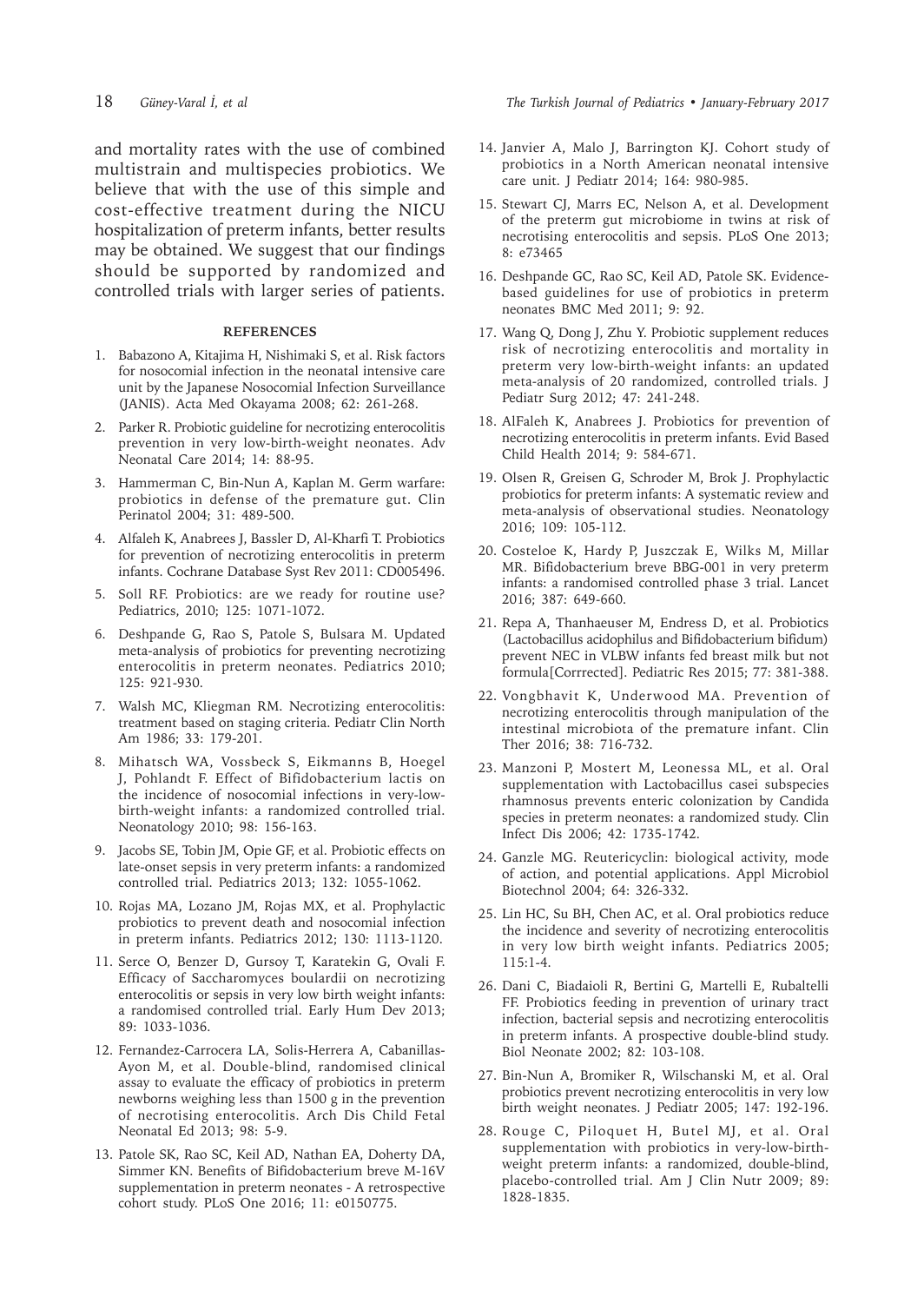and mortality rates with the use of combined multistrain and multispecies probiotics. We believe that with the use of this simple and cost-effective treatment during the NICU hospitalization of preterm infants, better results may be obtained. We suggest that our findings should be supported by randomized and controlled trials with larger series of patients.

#### **REFERENCES**

- 1. Babazono A, Kitajima H, Nishimaki S, et al. Risk factors for nosocomial infection in the neonatal intensive care unit by the Japanese Nosocomial Infection Surveillance (JANIS). Acta Med Okayama 2008; 62: 261-268.
- 2. Parker R. Probiotic guideline for necrotizing enterocolitis prevention in very low-birth-weight neonates. Adv Neonatal Care 2014; 14: 88-95.
- 3. Hammerman C, Bin-Nun A, Kaplan M. Germ warfare: probiotics in defense of the premature gut. Clin Perinatol 2004; 31: 489-500.
- 4. Alfaleh K, Anabrees J, Bassler D, Al-Kharfi T. Probiotics for prevention of necrotizing enterocolitis in preterm infants. Cochrane Database Syst Rev 2011: CD005496.
- 5. Soll RF. Probiotics: are we ready for routine use? Pediatrics, 2010; 125: 1071-1072.
- 6. Deshpande G, Rao S, Patole S, Bulsara M. Updated meta-analysis of probiotics for preventing necrotizing enterocolitis in preterm neonates. Pediatrics 2010; 125: 921-930.
- 7. Walsh MC, Kliegman RM. Necrotizing enterocolitis: treatment based on staging criteria. Pediatr Clin North Am 1986; 33: 179-201.
- 8. Mihatsch WA, Vossbeck S, Eikmanns B, Hoegel J, Pohlandt F. Effect of Bifidobacterium lactis on the incidence of nosocomial infections in very-lowbirth-weight infants: a randomized controlled trial. Neonatology 2010; 98: 156-163.
- 9. Jacobs SE, Tobin JM, Opie GF, et al. Probiotic effects on late-onset sepsis in very preterm infants: a randomized controlled trial. Pediatrics 2013; 132: 1055-1062.
- 10. Rojas MA, Lozano JM, Rojas MX, et al. Prophylactic probiotics to prevent death and nosocomial infection in preterm infants. Pediatrics 2012; 130: 1113-1120.
- 11. Serce O, Benzer D, Gursoy T, Karatekin G, Ovali F. Efficacy of Saccharomyces boulardii on necrotizing enterocolitis or sepsis in very low birth weight infants: a randomised controlled trial. Early Hum Dev 2013; 89: 1033-1036.
- 12. Fernandez-Carrocera LA, Solis-Herrera A, Cabanillas-Ayon M, et al. Double-blind, randomised clinical assay to evaluate the efficacy of probiotics in preterm newborns weighing less than 1500 g in the prevention of necrotising enterocolitis. Arch Dis Child Fetal Neonatal Ed 2013; 98: 5-9.
- 13. Patole SK, Rao SC, Keil AD, Nathan EA, Doherty DA, Simmer KN. Benefits of Bifidobacterium breve M-16V supplementation in preterm neonates - A retrospective cohort study. PLoS One 2016; 11: e0150775.

18 *Güney-Varal İ, et al The Turkish Journal of Pediatrics • January-February 2017*

- 14. Janvier A, Malo J, Barrington KJ. Cohort study of probiotics in a North American neonatal intensive care unit. J Pediatr 2014; 164: 980-985.
- 15. Stewart CJ, Marrs EC, Nelson A, et al. Development of the preterm gut microbiome in twins at risk of necrotising enterocolitis and sepsis. PLoS One 2013; 8: e73465
- 16. Deshpande GC, Rao SC, Keil AD, Patole SK. Evidencebased guidelines for use of probiotics in preterm neonates BMC Med 2011; 9: 92.
- 17. Wang Q, Dong J, Zhu Y. Probiotic supplement reduces risk of necrotizing enterocolitis and mortality in preterm very low-birth-weight infants: an updated meta-analysis of 20 randomized, controlled trials. J Pediatr Surg 2012; 47: 241-248.
- 18. AlFaleh K, Anabrees J. Probiotics for prevention of necrotizing enterocolitis in preterm infants. Evid Based Child Health 2014; 9: 584-671.
- 19. Olsen R, Greisen G, Schroder M, Brok J. Prophylactic probiotics for preterm infants: A systematic review and meta-analysis of observational studies. Neonatology 2016; 109: 105-112.
- 20. Costeloe K, Hardy P, Juszczak E, Wilks M, Millar MR. Bifidobacterium breve BBG-001 in very preterm infants: a randomised controlled phase 3 trial. Lancet 2016; 387: 649-660.
- 21. Repa A, Thanhaeuser M, Endress D, et al. Probiotics (Lactobacillus acidophilus and Bifidobacterium bifidum) prevent NEC in VLBW infants fed breast milk but not formula[Corrrected]. Pediatric Res 2015; 77: 381-388.
- 22. Vongbhavit K, Underwood MA. Prevention of necrotizing enterocolitis through manipulation of the intestinal microbiota of the premature infant. Clin Ther 2016; 38: 716-732.
- 23. Manzoni P, Mostert M, Leonessa ML, et al. Oral supplementation with Lactobacillus casei subspecies rhamnosus prevents enteric colonization by Candida species in preterm neonates: a randomized study. Clin Infect Dis 2006; 42: 1735-1742.
- 24. Ganzle MG. Reutericyclin: biological activity, mode of action, and potential applications. Appl Microbiol Biotechnol 2004; 64: 326-332.
- 25. Lin HC, Su BH, Chen AC, et al. Oral probiotics reduce the incidence and severity of necrotizing enterocolitis in very low birth weight infants. Pediatrics 2005; 115:1-4.
- 26. Dani C, Biadaioli R, Bertini G, Martelli E, Rubaltelli FF. Probiotics feeding in prevention of urinary tract infection, bacterial sepsis and necrotizing enterocolitis in preterm infants. A prospective double-blind study. Biol Neonate 2002; 82: 103-108.
- 27. Bin-Nun A, Bromiker R, Wilschanski M, et al. Oral probiotics prevent necrotizing enterocolitis in very low birth weight neonates. J Pediatr 2005; 147: 192-196.
- 28. Rouge C, Piloquet H, Butel MJ, et al. Oral supplementation with probiotics in very-low-birthweight preterm infants: a randomized, double-blind, placebo-controlled trial. Am J Clin Nutr 2009; 89: 1828-1835.